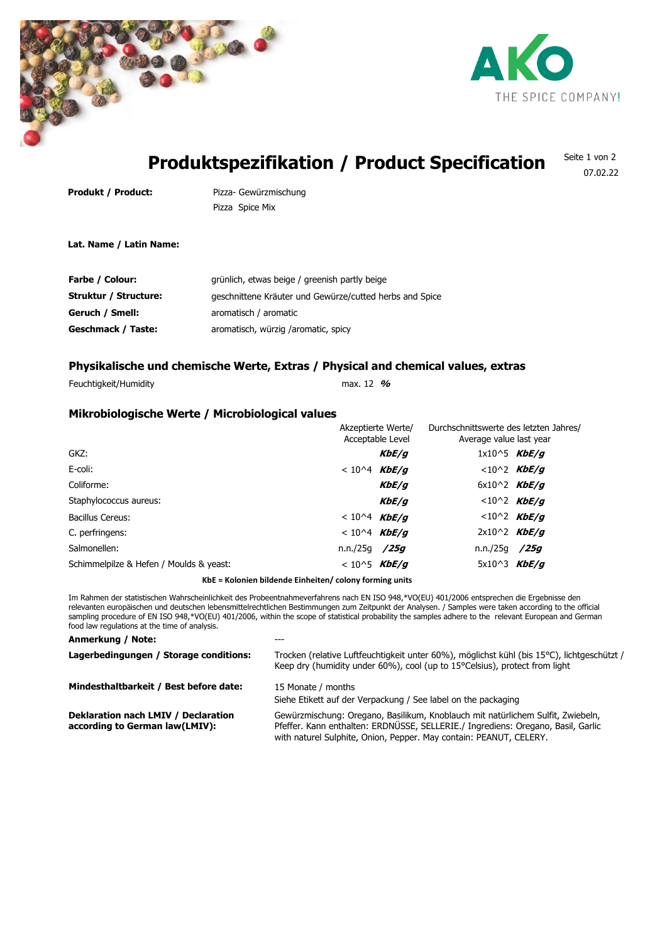



# **Produktspezifikation / Product Specification**

Seite 1 von 2 07.02.22

**Produkt / Product:** Pizza- Gewürzmischung Pizza Spice Mix

**Lat. Name / Latin Name:**

| Farbe / Colour:       | grünlich, etwas beige / greenish partly beige           |
|-----------------------|---------------------------------------------------------|
| Struktur / Structure: | geschnittene Kräuter und Gewürze/cutted herbs and Spice |
| Geruch / Smell:       | aromatisch / aromatic                                   |
| Geschmack / Taste:    | aromatisch, würzig /aromatic, spicy                     |

# **Physikalische und chemische Werte, Extras / Physical and chemical values, extras**

Feuchtigkeit/Humidity max. 12 **%**

## **Mikrobiologische Werte / Microbiological values**

| $1x10^5$ KbE/q<br>GKZ:<br>KbE/q<br>E-coli:<br>$< 10^2$ KbE/g<br>$< 10^{4}$ KbE/g<br>KbE/q<br>Coliforme:<br>$6x10^2$ KbE/g<br><10^2 <i>KbE/g</i><br>Staphylococcus aureus:<br>KbE/g<br>$<10^2$ KbE/g<br>$< 10^{4}$ KbE/g<br>Bacillus Cereus:<br>$2x10^2$ KbE/g<br>$< 10^{4}$ KbE/g<br>C. perfringens:<br>n.n./25q /25q<br>Salmonellen:<br>n.n./25q<br>/25q<br>Schimmelpilze & Hefen / Moulds & yeast:<br>5x10^3 $KbE/q$<br>$< 10^{5}$ KbE/g | Akzeptierte Werte/<br>Acceptable Level |  | Durchschnittswerte des letzten Jahres/<br>Average value last year |  |
|--------------------------------------------------------------------------------------------------------------------------------------------------------------------------------------------------------------------------------------------------------------------------------------------------------------------------------------------------------------------------------------------------------------------------------------------|----------------------------------------|--|-------------------------------------------------------------------|--|
|                                                                                                                                                                                                                                                                                                                                                                                                                                            |                                        |  |                                                                   |  |
|                                                                                                                                                                                                                                                                                                                                                                                                                                            |                                        |  |                                                                   |  |
|                                                                                                                                                                                                                                                                                                                                                                                                                                            |                                        |  |                                                                   |  |
|                                                                                                                                                                                                                                                                                                                                                                                                                                            |                                        |  |                                                                   |  |
|                                                                                                                                                                                                                                                                                                                                                                                                                                            |                                        |  |                                                                   |  |
|                                                                                                                                                                                                                                                                                                                                                                                                                                            |                                        |  |                                                                   |  |
|                                                                                                                                                                                                                                                                                                                                                                                                                                            |                                        |  |                                                                   |  |
|                                                                                                                                                                                                                                                                                                                                                                                                                                            |                                        |  |                                                                   |  |

## **KbE = Kolonien bildende Einheiten/ colony forming units**

Im Rahmen der statistischen Wahrscheinlichkeit des Probeentnahmeverfahrens nach EN ISO 948,\*VO(EU) 401/2006 entsprechen die Ergebnisse den relevanten europäischen und deutschen lebensmittelrechtlichen Bestimmungen zum Zeitpunkt der Analysen. / Samples were taken according to the official sampling procedure of EN ISO 948,\*VO(EU) 401/2006, within the scope of statistical probability the samples adhere to the relevant European and German food law regulations at the time of analysis.

#### **Anmerkung / Note:** ---

| Trocken (relative Luftfeuchtigkeit unter 60%), möglichst kühl (bis 15°C), lichtgeschützt /<br>Keep dry (humidity under 60%), cool (up to 15°Celsius), protect from light                                                                  |
|-------------------------------------------------------------------------------------------------------------------------------------------------------------------------------------------------------------------------------------------|
| 15 Monate / months<br>Siehe Etikett auf der Verpackung / See label on the packaging                                                                                                                                                       |
| Gewürzmischung: Oregano, Basilikum, Knoblauch mit natürlichem Sulfit, Zwiebeln,<br>Pfeffer. Kann enthalten: ERDNÜSSE, SELLERIE./ Ingrediens: Oregano, Basil, Garlic<br>with naturel Sulphite, Onion, Pepper. May contain: PEANUT, CELERY. |
|                                                                                                                                                                                                                                           |